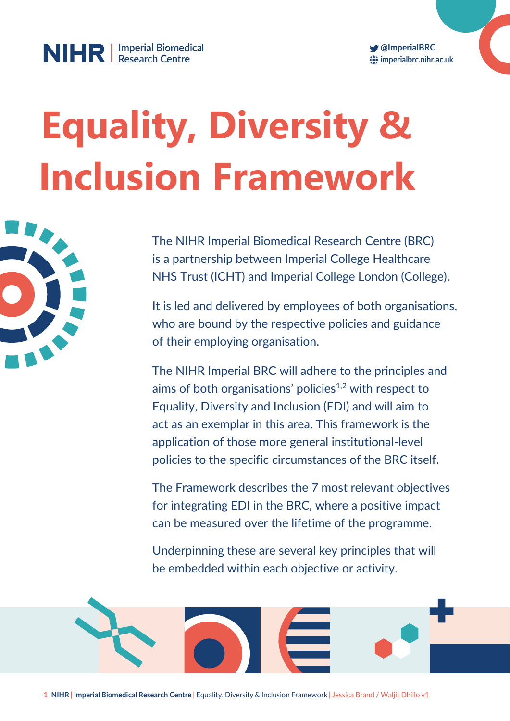**NIHR** | Imperial Biomedical

**[@ImperialBRC](https://twitter.com/imperialbrc) [imperialbrc.nihr.ac.uk](https://imperialbrc.nihr.ac.uk/)**

# **Equality, Diversity & Inclusion Framework**



The NIHR Imperial Biomedical Research Centre (BRC) is a partnership between Imperial College Healthcare NHS Trust (ICHT) and Imperial College London (College).

It is led and delivered by employees of both organisations, who are bound by the respective policies and guidance of their employing organisation.

The NIHR Imperial BRC will adhere to the principles and aims of both organisations' policies<sup>1,2</sup> with respect to Equality, Diversity and Inclusion (EDI) and will aim to act as an exemplar in this area. This framework is the application of those more general institutional-level policies to the specific circumstances of the BRC itself.

The Framework describes the 7 most relevant objectives for integrating EDI in the BRC, where a positive impact can be measured over the lifetime of the programme.

Underpinning these are several key principles that will be embedded within each objective or activity.

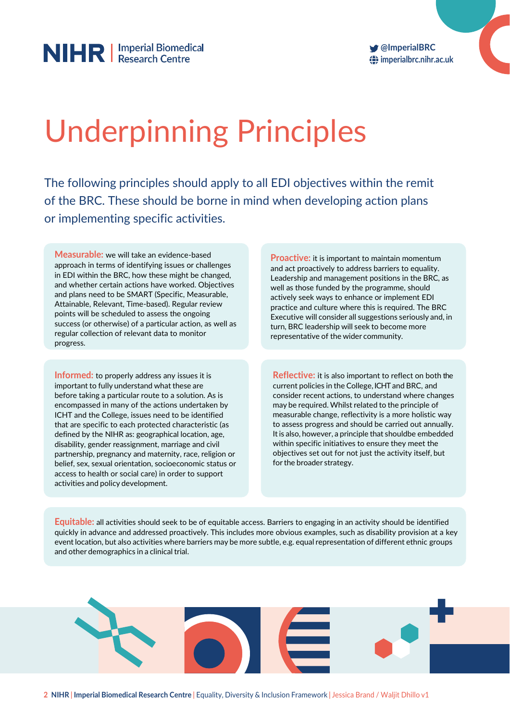**[@ImperialBRC](https://twitter.com/imperialbrc) [imperialbrc.nihr.ac.uk](https://imperialbrc.nihr.ac.uk/)**

### Underpinning Principles

The following principles should apply to all EDI objectives within the remit of the BRC. These should be borne in mind when developing action plans or implementing specific activities.

**Measurable:** we will take an evidence-based approach in terms of identifying issues or challenges in EDI within the BRC, how these might be changed, and whether certain actions have worked. Objectives and plans need to be SMART (Specific, Measurable, Attainable, Relevant, Time-based). Regular review points will be scheduled to assess the ongoing success (or otherwise) of a particular action, as well as regular collection of relevant data to monitor progress.

**Informed:** to properly address any issues it is important to fully understand what these are before taking a particular route to a solution. As is encompassed in many of the actions undertaken by ICHT and the College, issues need to be identified that are specific to each protected characteristic (as defined by the NIHR as: geographical location, age, disability, gender reassignment, marriage and civil partnership, pregnancy and maternity, race, religion or belief, sex, sexual orientation, socioeconomic status or access to health or social care) in order to support activities and policy development.

**Proactive:** it is important to maintain momentum and act proactively to address barriers to equality. Leadership and management positions in the BRC, as well as those funded by the programme, should actively seek ways to enhance or implement EDI practice and culture where this is required. The BRC Executive will consider all suggestions seriously and, in turn, BRC leadership will seek to become more representative of the wider community.

**Reflective:** it is also important to reflect on both the current policies in the College, ICHT and BRC, and consider recent actions, to understand where changes may be required. Whilst related to the principle of measurable change, reflectivity is a more holistic way to assess progress and should be carried out annually. It is also, however, a principle that shouldbe embedded within specific initiatives to ensure they meet the objectives set out for not just the activity itself, but for the broader strategy.

**Equitable:** all activities should seek to be of equitable access. Barriers to engaging in an activity should be identified quickly in advance and addressed proactively. This includes more obvious examples, such as disability provision at a key event location, but also activities where barriers may be more subtle, e.g. equal representation of different ethnic groups and other demographics in a clinical trial.

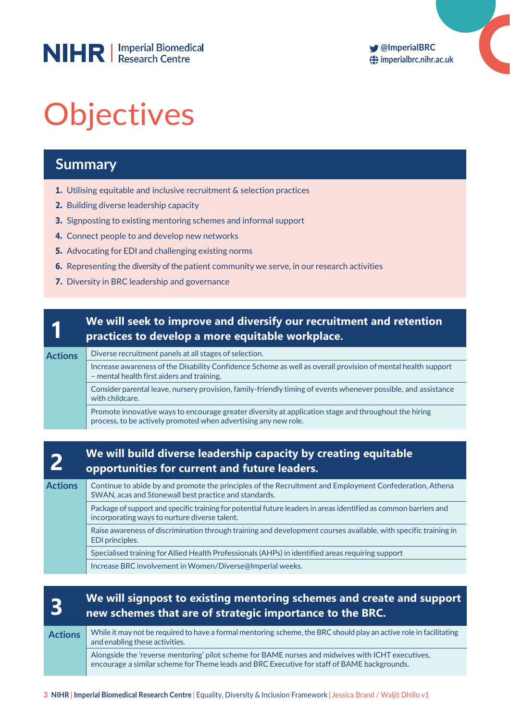### **NIHR** | Imperial Biomedical

**[@ImperialBRC](https://twitter.com/imperialbrc) [imperialbrc.nihr.ac.uk](https://imperialbrc.nihr.ac.uk/)**

## **Objectives**

#### **Summary**

- **1.** Utilising equitable and inclusive recruitment & selection practices
- **2.** Building diverse leadership capacity
- **3.** Signposting to existing mentoring schemes and informal support
- **4.** Connect people to and develop new networks
- **5.** Advocating for EDI and challenging existing norms
- **6.** Representing the diversity of the patient community we serve, in our research activities
- **7.** Diversity in BRC leadership and governance

#### **1 We will seek to improve and diversify our recruitment and retention practices to develop a more equitable workplace.**

#### Actions | Diverse recruitment panels at all stages of selection.

Increase awareness ofthe Disability Confidence Scheme as well as overall provision of mental health support – mental health first aiders and training.

Consider parental leave, nursery provision, family-friendly timing of events whenever possible, and assistance with childcare.

Promote innovative ways to encourage greater diversity at application stage and throughout the hiring process, to be actively promoted when advertising any new role.

|                | We will build diverse leadership capacity by creating equitable<br>opportunities for current and future leaders.                                                  |  |  |
|----------------|-------------------------------------------------------------------------------------------------------------------------------------------------------------------|--|--|
| <b>Actions</b> | Continue to abide by and promote the principles of the Recruitment and Employment Confederation, Athena<br>SWAN, acas and Stonewall best practice and standards.  |  |  |
|                | Package of support and specific training for potential future leaders in areas identified as common barriers and<br>incorporating ways to nurture diverse talent. |  |  |
|                | Raise awareness of discrimination through training and development courses available, with specific training in<br>EDI principles.                                |  |  |
|                | Specialised training for Allied Health Professionals (AHPs) in identified areas requiring support                                                                 |  |  |
|                | Increase BRC involvement in Women/Diverse@Imperial weeks.                                                                                                         |  |  |

| <b>B</b>       | We will signpost to existing mentoring schemes and create and support<br>new schemes that are of strategic importance to the BRC.                                                                |  |  |  |
|----------------|--------------------------------------------------------------------------------------------------------------------------------------------------------------------------------------------------|--|--|--|
| <b>Actions</b> | While it may not be required to have a formal mentoring scheme, the BRC should play an active role in facilitating<br>and enabling these activities.                                             |  |  |  |
|                | Alongside the 'reverse mentoring' pilot scheme for BAME nurses and midwives with ICHT executives,<br>encourage a similar scheme for Theme leads and BRC Executive for staff of BAME backgrounds. |  |  |  |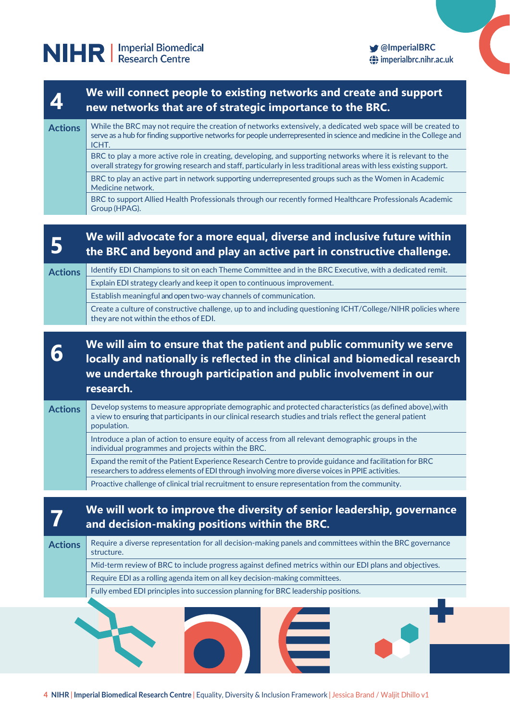

|                | We will connect people to existing networks and create and support<br>new networks that are of strategic importance to the BRC.                                                                                                                |
|----------------|------------------------------------------------------------------------------------------------------------------------------------------------------------------------------------------------------------------------------------------------|
| <b>Actions</b> | While the BRC may not require the creation of networks extensively, a dedicated web space will be created to<br>serve as a hub for finding supportive networks for people underrepresented in science and medicine in the College and<br>ICHT. |
|                | BRC to play a more active role in creating, developing, and supporting networks where it is relevant to the<br>overall strategy for growing research and staff, particularly in less traditional areas with less existing support.             |
|                | BRC to play an active part in network supporting underrepresented groups such as the Women in Academic<br>Medicine network.                                                                                                                    |
|                | BRC to support Allied Health Professionals through our recently formed Healthcare Professionals Academic<br>Group (HPAG).                                                                                                                      |
|                | We will advocate for a more equal, diverse and inclusive future within<br>the BRC and beyond and play an active part in constructive challenge.                                                                                                |
| <b>Actions</b> | Identify EDI Champions to sit on each Theme Committee and in the BRC Executive, with a dedicated remit.                                                                                                                                        |
|                | Explain EDI strategy clearly and keep it open to continuous improvement.                                                                                                                                                                       |
|                | Establish meaningful and open two-way channels of communication.                                                                                                                                                                               |
|                | Create a culture of constructive challenge, up to and including questioning ICHT/College/NIHR policies where<br>they are not within the ethos of EDI.                                                                                          |
|                | We will aim to ensure that the patient and public community we serve<br>locally and nationally is reflected in the clinical and biomedical research<br>we undertake through participation and public involvement in our<br>research.           |
| <b>Actions</b> | Develop systems to measure appropriate demographic and protected characteristics (as defined above), with<br>a view to ensuring that participants in our clinical research studies and trials reflect the general patient<br>population.       |
|                | Introduce a plan of action to ensure equity of access from all relevant demographic groups in the<br>individual programmes and projects within the BRC.                                                                                        |
|                | Expand the remit of the Patient Experience Research Centre to provide guidance and facilitation for BRC<br>researchers to address elements of EDI through involving more diverse voices in PPIE activities.                                    |
|                | Proactive challenge of clinical trial recruitment to ensure representation from the community.                                                                                                                                                 |
|                | We will work to improve the diversity of senior leadership, governance<br>and decision-making positions within the BRC.                                                                                                                        |
| <b>Actions</b> | Require a diverse representation for all decision-making panels and committees within the BRC governance<br>structure.                                                                                                                         |
|                | Mid-term review of BRC to include progress against defined metrics within our EDI plans and objectives.                                                                                                                                        |
|                | Require EDI as a rolling agenda item on all key decision-making committees.                                                                                                                                                                    |
|                | Fully embed EDI principles into succession planning for BRC leadership positions.                                                                                                                                                              |
|                |                                                                                                                                                                                                                                                |